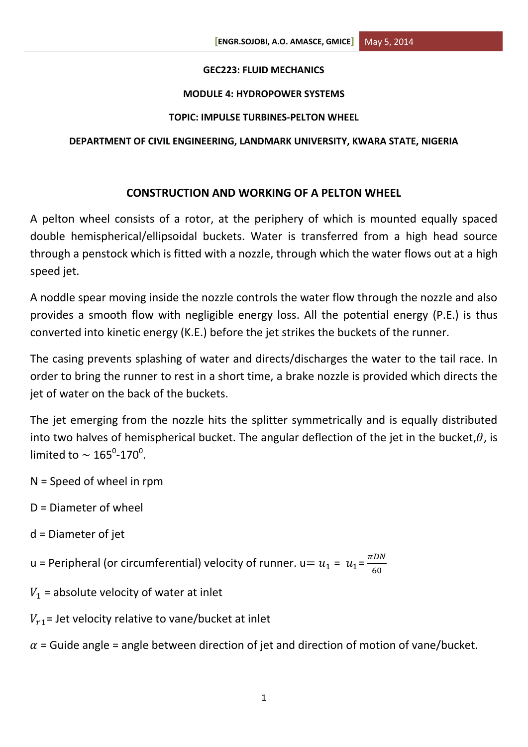#### **GEC223: FLUID MECHANICS**

#### **MODULE 4: HYDROPOWER SYSTEMS**

#### **TOPIC: IMPULSE TURBINES-PELTON WHEEL**

#### **DEPARTMENT OF CIVIL ENGINEERING, LANDMARK UNIVERSITY, KWARA STATE, NIGERIA**

# **CONSTRUCTION AND WORKING OF A PELTON WHEEL**

A pelton wheel consists of a rotor, at the periphery of which is mounted equally spaced double hemispherical/ellipsoidal buckets. Water is transferred from a high head source through a penstock which is fitted with a nozzle, through which the water flows out at a high speed jet.

A noddle spear moving inside the nozzle controls the water flow through the nozzle and also provides a smooth flow with negligible energy loss. All the potential energy (P.E.) is thus converted into kinetic energy (K.E.) before the jet strikes the buckets of the runner.

The casing prevents splashing of water and directs/discharges the water to the tail race. In order to bring the runner to rest in a short time, a brake nozzle is provided which directs the jet of water on the back of the buckets.

The jet emerging from the nozzle hits the splitter symmetrically and is equally distributed into two halves of hemispherical bucket. The angular deflection of the jet in the bucket,  $\theta$ , is limited to  $\sim$  165<sup>0</sup>-170<sup>0</sup>.

- N = Speed of wheel in rpm
- D = Diameter of wheel
- d = Diameter of jet
- u = Peripheral (or circumferential) velocity of runner. u=  $u_1$  =  $u_1$ =  $\frac{\pi}{2}$ 6
- $V_1$  = absolute velocity of water at inlet
- $V_{r1}$  = Jet velocity relative to vane/bucket at inlet

 $\alpha$  = Guide angle = angle between direction of jet and direction of motion of vane/bucket.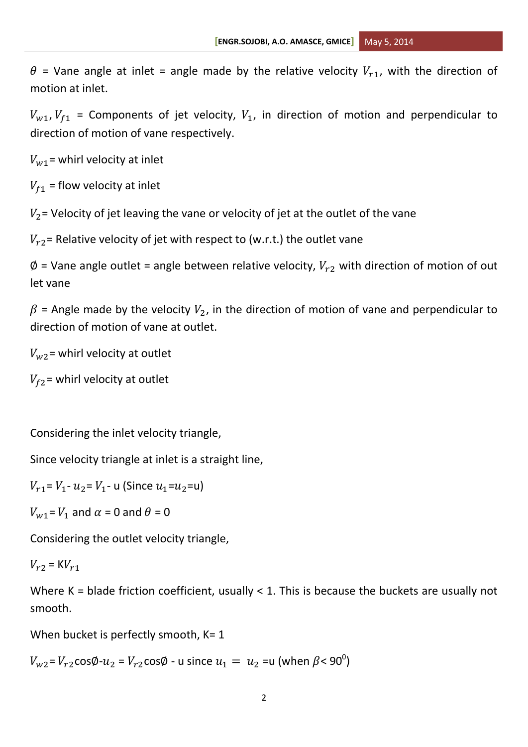$\theta$  = Vane angle at inlet = angle made by the relative velocity  $V_{r1}$ , with the direction of motion at inlet.

 $V_{w1}$ ,  $V_{f1}$  = Components of jet velocity,  $V_1$ , in direction of motion and perpendicular to direction of motion of vane respectively.

 $V_{w1}$  = whirl velocity at inlet

 $V_{f1}$  = flow velocity at inlet

 $V_2$  = Velocity of jet leaving the vane or velocity of jet at the outlet of the vane

 $V_{r2}$  Relative velocity of jet with respect to (w.r.t.) the outlet vane

 $\emptyset$  = Vane angle outlet = angle between relative velocity,  $V_{r2}$  with direction of motion of out let vane

 $\beta$  = Angle made by the velocity  $V_2$ , in the direction of motion of vane and perpendicular to direction of motion of vane at outlet.

 $V_{\rm w2}$  = whirl velocity at outlet

 $V_{f2}$  = whirl velocity at outlet

Considering the inlet velocity triangle,

Since velocity triangle at inlet is a straight line,

 $V_{r1} = V_1 - u_2 = V_1 - u$  (Since  $u_1 = u_2 = u$ )

 $V_{w1} = V_1$  and  $\alpha = 0$  and  $\theta = 0$ 

Considering the outlet velocity triangle,

 $V_{r2} = K V_{r1}$ 

Where K = blade friction coefficient, usually < 1. This is because the buckets are usually not smooth.

When bucket is perfectly smooth,  $K=1$ 

 $V_{{\sf w}2}$ =  $V_{{r2}}$ cos $\emptyset$ - $u_{2}$  =  $V_{{r2}}$ cos $\emptyset$  - u since  $u_{1} = \ u_{2}$  =u (when  $\beta$ < 90 $^0$ )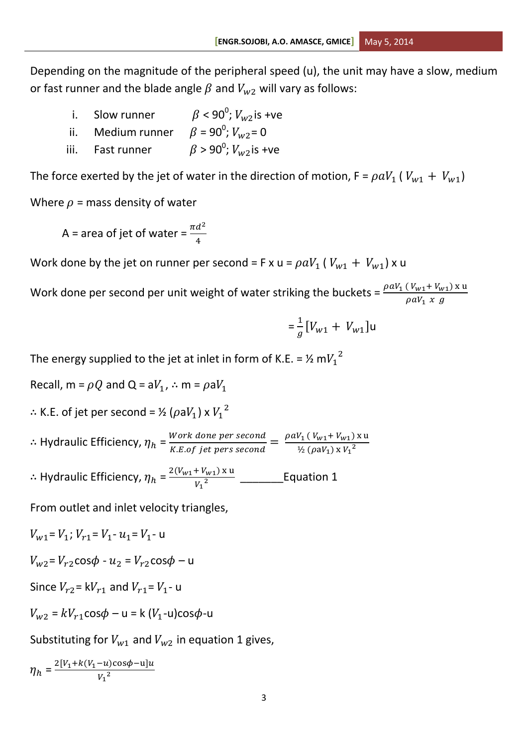Depending on the magnitude of the peripheral speed (u), the unit may have a slow, medium or fast runner and the blade angle  $\beta$  and  $V_{w2}$  will vary as follows:

- i. Slow runner  $\beta$  < 90<sup>0</sup>;  $V_{\alpha/2}$  is +ve ii. Medium runner  $\beta = 90^0$ ;  $V_{w2} = 0$
- iii. Fast runner  $\beta$  > 90<sup>0</sup>;  $V_{w2}$  is +ve

The force exerted by the jet of water in the direction of motion,  $F = \rho a V_1 ( V_{w1} + V_{w1} )$ Where  $\rho$  = mass density of water

A = area of jet of water =  $\frac{\pi d^2}{4}$ 4

Work done by the jet on runner per second = F x u =  $\rho aV_1$  (  $V_{w1} + V_{w1}$ ) x u

Work done per second per unit weight of water striking the buckets =  $\frac{\mu uv_1}{\rho}$ 

$$
= \frac{1}{g} \left[ V_{w1} + V_{w1} \right] u
$$

The energy supplied to the jet at inlet in form of K.E. = ½ m $V_1{}^2$ 

Recall,  $m = \rho Q$  and  $Q = aV_1$ ,  $\therefore m = \rho aV_1$  $\therefore$  K.E. of jet per second = ½ ( $\rho$ a $V_1$ ) x  $V_1^2$  $\therefore$  Hydraulic Efficiency,  $\eta_h = \frac{W}{K}$ Work done per second<br>K.E.of jet pers second  $=\frac{\rho}{\rho}$  $\frac{1}{2} (\rho a V_1) x V_1^2$  $\therefore$  Hydraulic Efficiency,  $\eta_h$  =  $^{\text{2}}$ \_\_\_\_\_\_\_Equation 1

From outlet and inlet velocity triangles,

$$
V_{w1} = V_1; V_{r1} = V_1 \cdot u_1 = V_1 \cdot u
$$

$$
V_{w2} = V_{r2} \cos \phi - u_2 = V_{r2} \cos \phi - u
$$

Since 
$$
V_{r2} = kV_{r1}
$$
 and  $V_{r1} = V_1$ - u

 $V_{w2} = kV_{r1} \cos \phi - u = k (V_1 - u) \cos \phi - u$ 

Substituting for  $V_{w1}$  and  $V_{w2}$  in equation 1 gives,

$$
\eta_h = \frac{2[v_1 + k(v_1 - u)\cos\phi - u]u}{v_1^2}
$$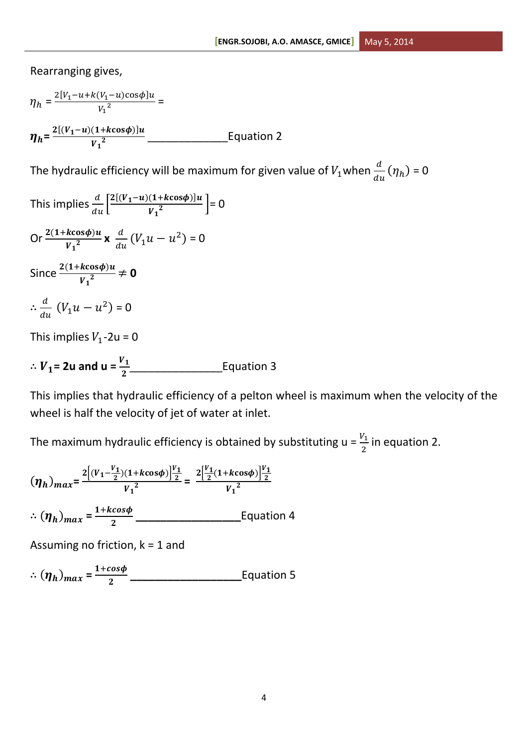Rearranging gives,

$$
\eta_h = \frac{2[V_1 - u + k(V_1 - u)\cos\phi]u}{V_1^2} =
$$
  

$$
\eta_h = \frac{2[(V_1 - u)(1 + k\cos\phi)]u}{V_1^2} \qquad \qquad \text{Equation 2}
$$

The hydraulic efficiency will be maximum for given value of  $V_1$ when  $\frac{u}{du}(\eta_h)$  = 0

This implies  $\frac{d}{du} \left[ \frac{2[(V_1-u)(1+k\cos\phi)]u}{V_1^2} \right]$  $\left[\frac{(1+\kappa\cos\varphi)\mu}{V_1^2}\right] = 0$ Or  $\frac{2(1+k\cos\phi)u}{V_1^2}$  x  $\frac{d}{du}$  $\frac{a}{du}(V_1u - u^2) = 0$ Since  $\frac{2(1+k\cos\psi)a}{V_1^2}\neq 0$  $\therefore \frac{d}{dt}$  $\frac{a}{du}$   $(V_1u - u^2) = 0$ This implies  $V_1$ -2u = 0

 $\therefore V_1 = 2u$  and  $u = \frac{v_1}{2}$  [Equation 3

This implies that hydraulic efficiency of a pelton wheel is maximum when the velocity of the wheel is half the velocity of jet of water at inlet.

The maximum hydraulic efficiency is obtained by substituting  $u = \frac{v_1}{2}$  in equation 2.

$$
(\eta_h)_{max} = \frac{2\left[ (v_1 - \frac{v_1}{2})(1 + k \cos \phi) \right] \frac{v_1}{2}}{v_1^2} = \frac{2\left[ \frac{v_1}{2}(1 + k \cos \phi) \right] \frac{v_1}{2}}{v_1^2}
$$
  
 
$$
\therefore (\eta_h)_{max} = \frac{1 + k \cos \phi}{2}
$$
 Equation 4

Assuming no friction,  $k = 1$  and

 $\therefore (\eta_h)_{max} = \frac{1}{2}$ **\_\_\_\_\_\_\_\_\_\_\_\_\_\_\_\_\_\_**Equation 5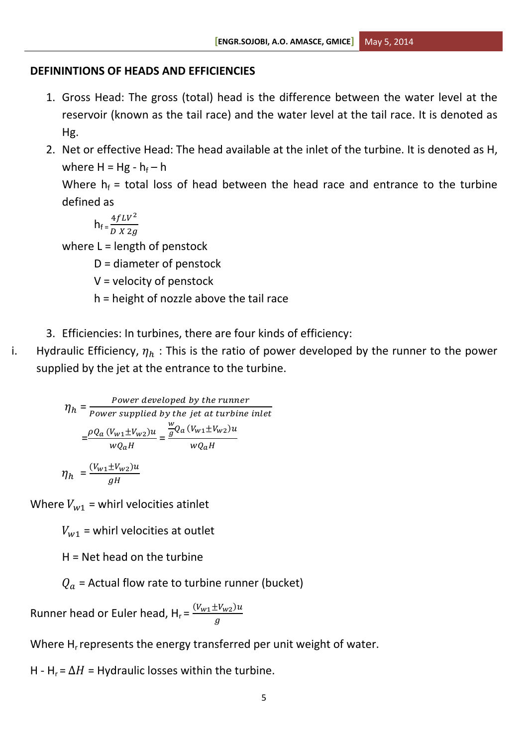### **DEFININTIONS OF HEADS AND EFFICIENCIES**

- 1. Gross Head: The gross (total) head is the difference between the water level at the reservoir (known as the tail race) and the water level at the tail race. It is denoted as Hg.
- 2. Net or effective Head: The head available at the inlet of the turbine. It is denoted as H, where  $H = Hg - h_f - h$

Where  $h_f$  = total loss of head between the head race and entrance to the turbine defined as

$$
h_{f} = \frac{4fLV^2}{DX\ 2g}
$$

where  $L =$  length of penstock

D = diameter of penstock

 $V =$  velocity of penstock

- h = height of nozzle above the tail race
- 3. Efficiencies: In turbines, there are four kinds of efficiency:
- i. Hydraulic Efficiency,  $\eta_h$ : This is the ratio of power developed by the runner to the power supplied by the jet at the entrance to the turbine.

$$
\eta_h = \frac{Power \text{ developed by the runner}}{Power \text{ supplied by the jet at turbine inlet}}
$$

$$
= \frac{\rho Q_a (V_{w1} \pm V_{w2}) u}{w Q_a H} = \frac{\frac{w}{g} Q_a (V_{w1} \pm V_{w2}) u}{w Q_a H}
$$

$$
\eta_h = \frac{(V_{w1} \pm V_{w2}) u}{a H}
$$

Where  $V_{w1}$  = whirl velocities atinlet

 $\overline{g}$ 

 $V_{w1}$  = whirl velocities at outlet

 $H = Net head$  on the turbine

 $Q_a$  = Actual flow rate to turbine runner (bucket)

Runner head or Euler head,  $H_r = \frac{(V_{w1} \pm V_{w2})}{g}$  $\overline{g}$ 

Where  $H<sub>r</sub>$  represents the energy transferred per unit weight of water.

H - H<sub>r</sub> =  $\Delta H$  = Hydraulic losses within the turbine.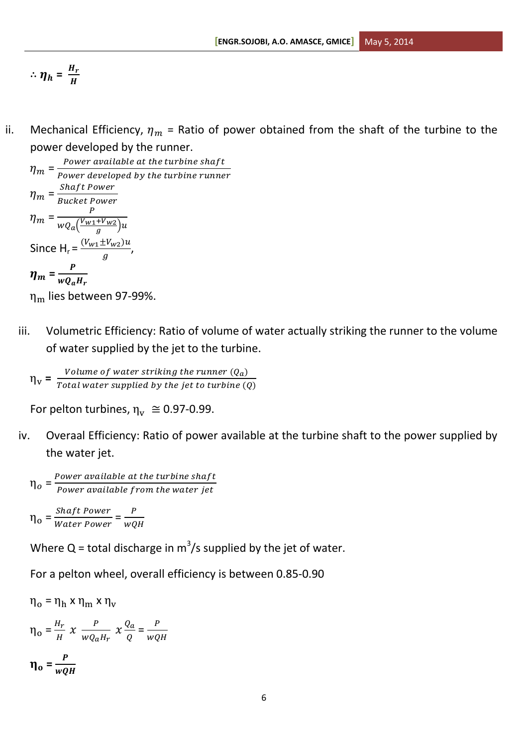$$
\therefore \eta_h = \frac{H_r}{H}
$$

ii. Mechanical Efficiency,  $\eta_m$  = Ratio of power obtained from the shaft of the turbine to the power developed by the runner.

 $\eta_m = \frac{P}{R}$  $\boldsymbol{P}$  $\eta_m = \frac{S}{R}$ B  $\eta_m = \frac{P}{\sqrt{V_{w1}}}$  $wQ_a(\frac{V}{\cdot})$  $\frac{1}{g}$ u $)$ u Since H<sub>r</sub> =  $\frac{(V_{w1} \pm V_{w2})}{g}$  $\frac{f(w_2)}{g}$ ,  $\eta_m = \frac{P}{mQ}$ W

 $\eta_{\rm m}$  lies between 97-99%.

iii. Volumetric Efficiency: Ratio of volume of water actually striking the runner to the volume of water supplied by the jet to the turbine.

 $\eta_{\rm v} = \frac{V}{T_{\rm ct}}$  $\overline{T}$ 

For pelton turbines,  $\eta_v \approx 0.97$ -0.99.

iv. Overaal Efficiency: Ratio of power available at the turbine shaft to the power supplied by the water jet.

$$
\eta_o = \frac{Power\ available\ at\ the\ turbine\ shaft}{Power\ available\ from\ the\ water\ jet}
$$

$$
\eta_o = \frac{Shaft\ Power}{Water\ Power} = \frac{P}{wQH}
$$

Where Q = total discharge in  $m^3/s$  supplied by the jet of water.

For a pelton wheel, overall efficiency is between 0.85-0.90

 $\eta_o = \eta_h \times \eta_m \times \eta_v$  $\eta_o = \frac{H}{I}$  $\frac{H_r}{H}$  x  $\frac{P}{WQ_a}$  $\frac{P}{wQ_aH_r}$   $\chi \frac{Q}{Q}$  $\frac{Q_a}{Q} = \frac{P}{wQ}$ W  $\eta_0 = \frac{P}{P}$ W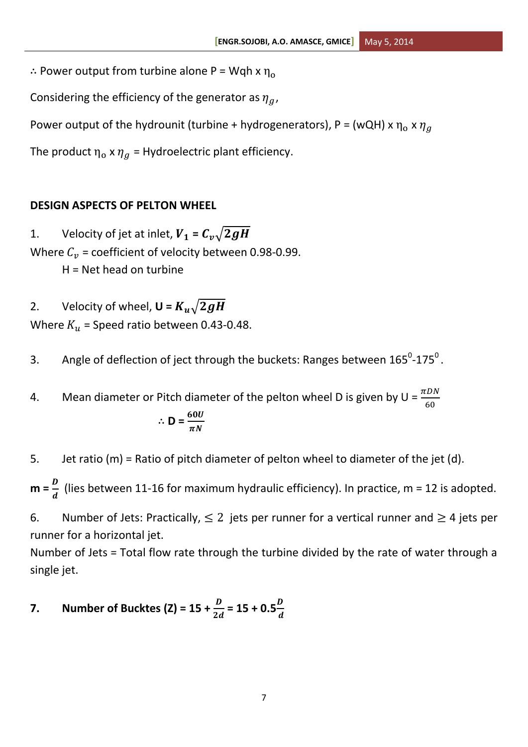$\therefore$  Power output from turbine alone P = Wqh x  $\eta_0$ 

Considering the efficiency of the generator as  $\eta_a$ ,

Power output of the hydrounit (turbine + hydrogenerators), P = (wQH) x  $\eta_0$  x  $\eta_a$ 

The product  $\eta_0 \times \eta_q$  = Hydroelectric plant efficiency.

# **DESIGN ASPECTS OF PELTON WHEEL**

1. Velocity of jet at inlet,  $V_1 = C_v \sqrt{2gH}$ Where  $C_v$  = coefficient of velocity between 0.98-0.99.

H = Net head on turbine

2. Velocity of wheel,  $U = K_u \sqrt{2gH}$ Where  $K_u$  = Speed ratio between 0.43-0.48.

3. Angle of deflection of ject through the buckets: Ranges between  $165^0$ -175<sup>0</sup>.

4. Mean diameter or Pitch diameter of the pelton wheel D is given by  $U = \frac{hc}{6}$  $\therefore$  **D** =  $\frac{d\theta}{\pi}$ 

5. Jet ratio (m) = Ratio of pitch diameter of pelton wheel to diameter of the jet (d).

 $m = \frac{D}{d}$  $\frac{b}{d}$  (lies between 11-16 for maximum hydraulic efficiency). In practice, m = 12 is adopted.

6. Number of Jets: Practically,  $\leq 2$  jets per runner for a vertical runner and  $\geq 4$  jets per runner for a horizontal jet.

Number of Jets = Total flow rate through the turbine divided by the rate of water through a single jet.

# **7.** Number of Bucktes (Z) =  $15 + \frac{D}{2d}$  =  $15 + 0.5\frac{D}{d}$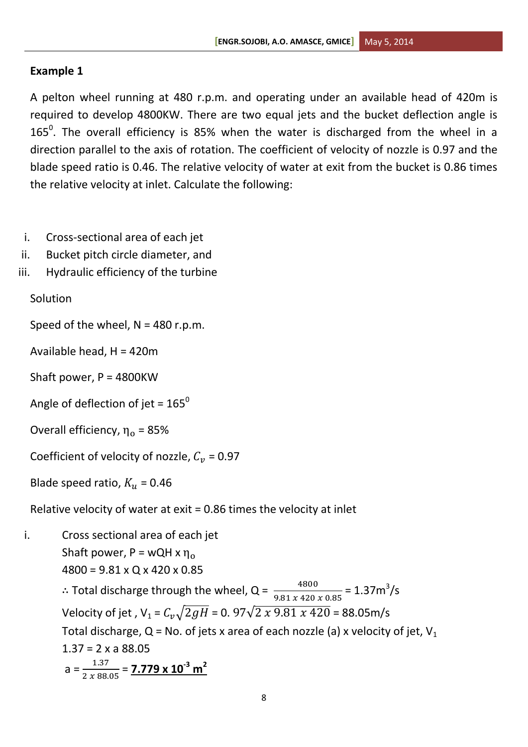# **Example 1**

A pelton wheel running at 480 r.p.m. and operating under an available head of 420m is required to develop 4800KW. There are two equal jets and the bucket deflection angle is 165<sup>0</sup>. The overall efficiency is 85% when the water is discharged from the wheel in a direction parallel to the axis of rotation. The coefficient of velocity of nozzle is 0.97 and the blade speed ratio is 0.46. The relative velocity of water at exit from the bucket is 0.86 times the relative velocity at inlet. Calculate the following:

- i. Cross-sectional area of each jet
- ii. Bucket pitch circle diameter, and
- iii. Hydraulic efficiency of the turbine

# Solution

Speed of the wheel,  $N = 480$  r.p.m.

- Available head, H = 420m
- Shaft power, P = 4800KW
- Angle of deflection of jet =  $165^{\circ}$
- Overall efficiency,  $\eta_{o}$  = 85%

Coefficient of velocity of nozzle,  $C_v$  = 0.97

Blade speed ratio,  $K_u$  = 0.46

Relative velocity of water at exit = 0.86 times the velocity at inlet

i. Cross sectional area of each jet Shaft power,  $P = wQH \times \eta_0$ 4800 = 9.81 x Q x 420 x 0.85

> ∴ Total discharge through the wheel, Q =  $\frac{4800}{9.81 \times 420 \times 0.85}$  = 1.37m<sup>3</sup>/s Velocity of jet,  $V_1 = C_v \sqrt{2gH} = 0.97 \sqrt{2 \times 9.81 \times 420} = 88.05 \text{m/s}$ Total discharge,  $Q$  = No. of jets x area of each nozzle (a) x velocity of jet,  $V_1$  $1.37 = 2 \times a 88.05$  $a = \frac{1}{2a}$  $\frac{1.37}{2 \times 88.05}$  = **7.779 x 10<sup>-3</sup> m<sup>2</sup>**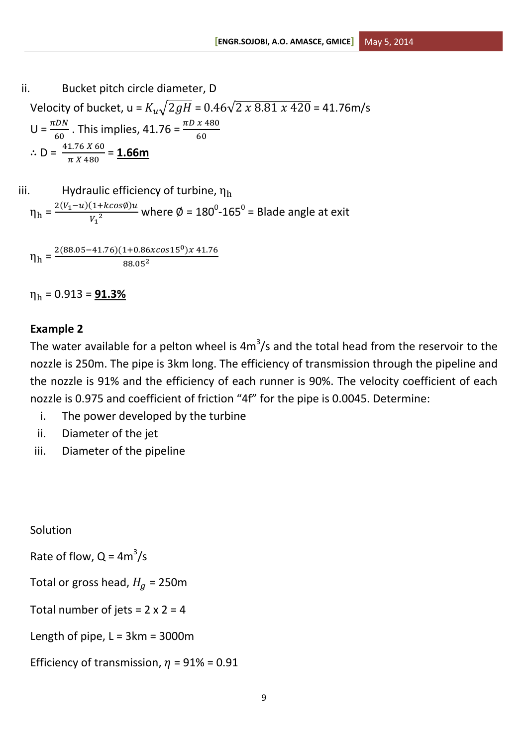ii. Bucket pitch circle diameter, D  
\nVelocity of bucket, 
$$
u = K_u \sqrt{2gH} = 0.46\sqrt{2 \times 8.81 \times 420} = 41.76 \text{m/s}
$$
  
\n $U = \frac{\pi DN}{60}$ . This implies,  $41.76 = \frac{\pi D \times 480}{60}$   
\n $\therefore D = \frac{41.76 \times 60}{\pi \times 480} = 1.66 \text{m}$ 

iii. Hydroulic efficiency of turbine, 
$$
\eta_h
$$
  

$$
\eta_h = \frac{2(V_1 - u)(1 + k cos \phi)u}{V_1^2}
$$
 where  $\phi = 180^\circ \text{-} 165^\circ = \text{Blade angle at exit}$ 

$$
\eta_h = \frac{2(88.05 - 41.76)(1 + 0.86x \cos 15^\circ)x \, 41.76}{88.05^2}
$$

 $\eta_h$  = 0.913 = **91.3%** 

# **Example 2**

The water available for a pelton wheel is 4 $m^3/s$  and the total head from the reservoir to the nozzle is 250m. The pipe is 3km long. The efficiency of transmission through the pipeline and the nozzle is 91% and the efficiency of each runner is 90%. The velocity coefficient of each nozzle is 0.975 and coefficient of friction "4f" for the pipe is 0.0045. Determine:

- i. The power developed by the turbine
- ii. Diameter of the jet
- iii. Diameter of the pipeline

Solution

Rate of flow,  $Q = 4m^3/s$ 

Total or gross head,  $H<sub>a</sub>$  = 250m

Total number of jets =  $2 \times 2 = 4$ 

Length of pipe,  $L = 3km = 3000m$ 

Efficiency of transmission,  $\eta$  = 91% = 0.91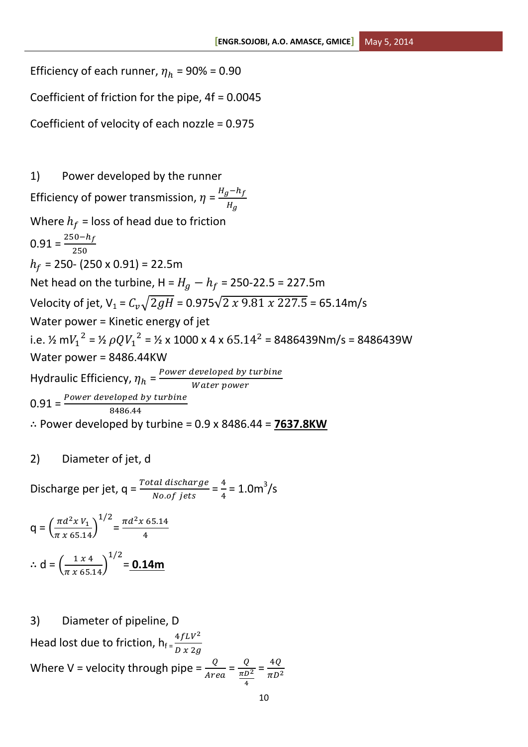Efficiency of each runner,  $\eta_h$  = 90% = 0.90 Coefficient of friction for the pipe, 4f = 0.0045 Coefficient of velocity of each nozzle = 0.975 1) Power developed by the runner Efficiency of power transmission,  $\eta = \frac{H}{A}$  $\boldsymbol{H}$ Where  $h_f$  = loss of head due to friction  $0.91 = \frac{2}{1}$  $\overline{\mathbf{c}}$  $h_f$  = 250- (250 x 0.91) = 22.5m Net head on the turbine,  $H = H_g - h_f = 250 - 22.5 = 227.5$ m Velocity of jet,  $V_1 = C_v \sqrt{2gH} = 0.975\sqrt{2 \times 9.81 \times 227.5} = 65.14 \text{m/s}$ Water power = Kinetic energy of jet i.e. ½ m $V_1^2$  = ½  $\rho Q {V_1}^2$  = ½ x 1000 x 4 x 65.14<sup>2</sup> = 8486439Nm/s = 8486439W Water power = 8486.44KW Hydraulic Efficiency,  $\eta_h$  =  $\frac{P}{A}$ W  $0.91 = \frac{1000 \text{ m/s}}{8}$ ∴ Power developed by turbine =  $0.9 \times 8486.44 = 7637.8$ KW

2) Diameter of jet, d

Discharge per jet,  $q = \frac{Total \, discharge}{No. \, of \, jets} = \frac{4}{4}$  $\frac{4}{4}$  = 1.0m<sup>3</sup>/s

$$
q = \left(\frac{\pi d^2 x V_1}{\pi x 65.14}\right)^{1/2} = \frac{\pi d^2 x 65.14}{4}
$$
  
 
$$
\therefore d = \left(\frac{1 x 4}{\pi x 65.14}\right)^{1/2} = 0.14 \text{ m}
$$

3) Diameter of pipeline, D Head lost due to friction,  $h_f = \frac{4fLV^2}{px^2d}$ D Where V = velocity through pipe =  $\frac{Q}{Area} = \frac{Q}{\frac{\pi D}{2}}$  $\pi$ 4  $=\frac{4}{\pi}$  $\pi$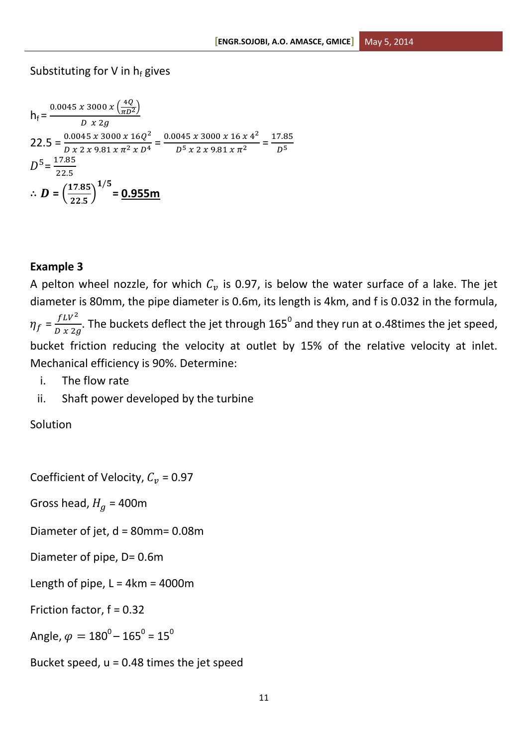# Substituting for V in  $h_f$  gives

$$
h_{f} = \frac{0.0045 \, x \, 3000 \, x \left(\frac{4Q}{\pi D^2}\right)}{D \, x \, 2g}
$$
\n
$$
22.5 = \frac{0.0045 \, x \, 3000 \, x \, 16Q^2}{D \, x \, 2 \, x \, 9.81 \, x \, \pi^2 \, x \, D^4} = \frac{0.0045 \, x \, 3000 \, x \, 16 \, x \, 4^2}{D^5 \, x \, 2 \, x \, 9.81 \, x \, \pi^2} = \frac{17.85}{D^5}
$$
\n
$$
D^5 = \frac{17.85}{22.5}
$$
\n
$$
\therefore \mathbf{D} = \left(\frac{17.85}{22.5}\right)^{1/5} = \mathbf{0.955m}
$$

### **Example 3**

A pelton wheel nozzle, for which  $\mathcal{C}_v$  is 0.97, is below the water surface of a lake. The jet diameter is 80mm, the pipe diameter is 0.6m, its length is 4km, and f is 0.032 in the formula,  $\eta_f = \frac{f L V^2}{R R G}$  $\frac{fLV^2}{D\chi 2g}$ . The buckets deflect the jet through 165<sup>0</sup> and they run at 0.48times the jet speed, bucket friction reducing the velocity at outlet by 15% of the relative velocity at inlet. Mechanical efficiency is 90%. Determine:

- i. The flow rate
- ii. Shaft power developed by the turbine

Solution

Coefficient of Velocity,  $C_v$  = 0.97

Gross head,  $H<sub>g</sub> = 400$ m

Diameter of jet, d = 80mm= 0.08m

Diameter of pipe, D= 0.6m

Length of pipe,  $L = 4km = 4000m$ 

Friction factor, f = 0.32

Angle,  $\varphi = 180^{\rm o}$ – 165 $^{\rm o}$  = 15 $^{\rm o}$ 

Bucket speed,  $u = 0.48$  times the jet speed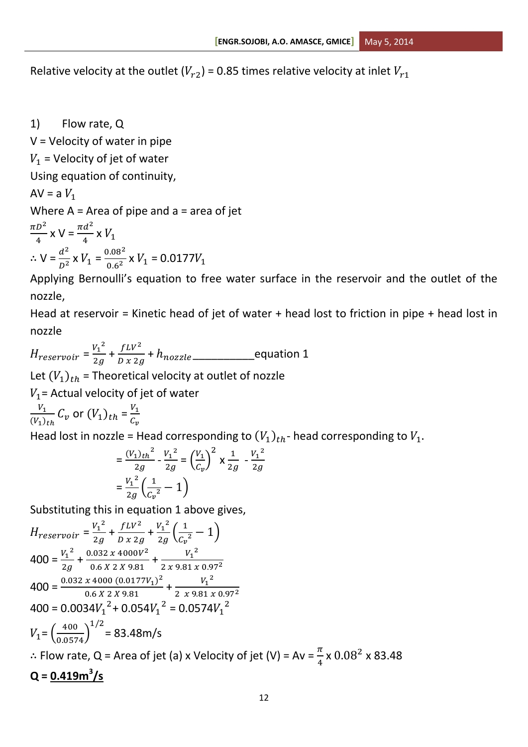Relative velocity at the outlet  $(V_{r2})$  = 0.85 times relative velocity at inlet  $V_{r1}$ 

1) Flow rate, Q

 $V =$  Velocity of water in pipe  $V_1$  = Velocity of jet of water Using equation of continuity,  $AV = aV_1$ Where  $A = Area$  of pipe and  $a = area$  of jet  $\pi D^2$  $\frac{D^2}{4}$  x V =  $\frac{\pi d^2}{4}$  $\frac{u}{4}$  X  $\therefore$  V =  $\frac{d^2}{2}$  $rac{d^2}{D^2}$  x  $V_1 = \frac{0}{0}$  $\frac{0.08}{0.6^2}$  x  $V_1$  = 0.0177V

Applying Bernoulli's equation to free water surface in the reservoir and the outlet of the nozzle,

Head at reservoir = Kinetic head of jet of water + head lost to friction in pipe + head lost in nozzle

 $H_{reservoir} = \frac{V_1^2}{2g}$  $\frac{V_1^2}{2g} + \frac{fLV^2}{D x \, 2g}$  $\frac{f_{LV}}{D\,x\,2g}$  +  $h_{nozzle}$  equation 1 Let  $(V_1)_{th}$  = Theoretical velocity at outlet of nozzle

 $V_1$  = Actual velocity of jet of water

V  $\frac{V_1}{(V_1)_{th}} C_v$  or  $(V_1)_{th} = \frac{V_1}{C}$  $\mathcal C$ 

Head lost in nozzle = Head corresponding to  $(V_1)_{th}$ - head corresponding to

$$
= \frac{(V_1)_{th}^2}{2g} - \frac{V_1^2}{2g} = \left(\frac{V_1}{C_v}\right)^2 \times \frac{1}{2g} - \frac{V_1^2}{2g}
$$

$$
= \frac{V_1^2}{2g} \left(\frac{1}{C_v^2} - 1\right)
$$

Substituting this in equation 1 above gives,

$$
H_{reservoir} = \frac{V_1^2}{2g} + \frac{fLV^2}{D \times 2g} + \frac{V_1^2}{2g} \left( \frac{1}{C_v^2} - 1 \right)
$$
  
\n
$$
400 = \frac{V_1^2}{2g} + \frac{0.032 \times 4000V^2}{0.6 \times 2 \times 9.81} + \frac{V_1^2}{2 \times 9.81 \times 0.97^2}
$$
  
\n
$$
400 = \frac{0.032 \times 4000 (0.0177V_1)^2}{0.6 \times 2 \times 9.81} + \frac{V_1^2}{2 \times 9.81 \times 0.97^2}
$$
  
\n
$$
400 = 0.0034V_1^2 + 0.054V_1^2 = 0.0574V_1^2
$$
  
\n
$$
V_1 = \left( \frac{400}{0.0574} \right)^{1/2} = 83.48 \text{ m/s}
$$
  
\n
$$
\therefore \text{Flow rate, Q} = \text{Area of jet (a) x Velocity of jet (V)} = Av = \frac{\pi}{4} \times 0.08^2 \times 83.48
$$
  
\n
$$
Q = \frac{0.419 \text{ m}^3/\text{s}}{2.49 \times 10^{-3} \text{ s}}
$$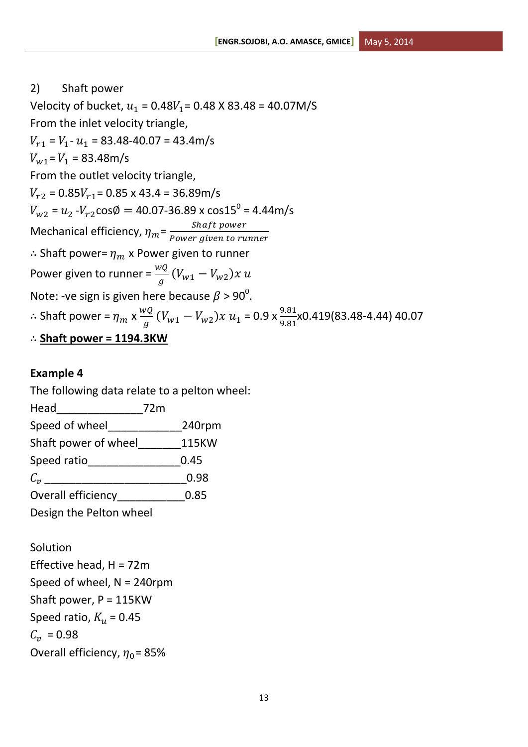# 2) Shaft power Velocity of bucket,  $u_1 = 0.48V_1 = 0.48$  X 83.48 = 40.07M/S From the inlet velocity triangle,  $V_{r1}$  =  $V_1$ -  $u_1$  = 83.48-40.07 = 43.4m/s  $V_{w1} = V_1 = 83.48 \text{m/s}$ From the outlet velocity triangle,  $V_{r2} = 0.85 V_{r1} = 0.85 \times 43.4 = 36.89 \text{m/s}$  $V_{{\sf w}2}$  =  $u_{2}$  - $V_{{r2}}$ cos $\emptyset =$  40.07-36.89 x cos15 $^{0}$  = 4.44m/s Mechanical efficiency,  $\eta_m = \frac{S}{P_0 m n}$  $\boldsymbol{P}$  $\therefore$  Shaft power=  $\eta_m$  x Power given to runner Power given to runner =  $\frac{w_Q}{g}(V_{w1} - V_{w2})$ Note: -ve sign is given here because  $\beta$  > 90 $^0$ .  $\therefore$  Shaft power =  $\eta_m \times \frac{w}{4}$  $\frac{\partial Q}{\partial g}(V_{w1}-V_{w2})x u_1 = 0.9 \times \frac{9.81}{9.81}$ x0.419(83.48-4.44) 40.07 **Shaft power = 1194.3KW**

# **Example 4**

The following data relate to a pelton wheel:

| Head                    | 72 <sub>m</sub> |              |
|-------------------------|-----------------|--------------|
| Speed of wheel          |                 | 240rpm       |
| Shaft power of wheel    |                 | <b>115KW</b> |
| Speed ratio             |                 | 0.45         |
| $\mathcal{C}_{\bm{n}}$  |                 | 0.98         |
| Overall efficiency      |                 | 0.85         |
| Design the Pelton wheel |                 |              |

Solution Effective head,  $H = 72m$ Speed of wheel, N = 240rpm Shaft power, P = 115KW Speed ratio,  $K_u$  = 0.45  $C_{12} = 0.98$ Overall efficiency,  $\eta_0$  = 85%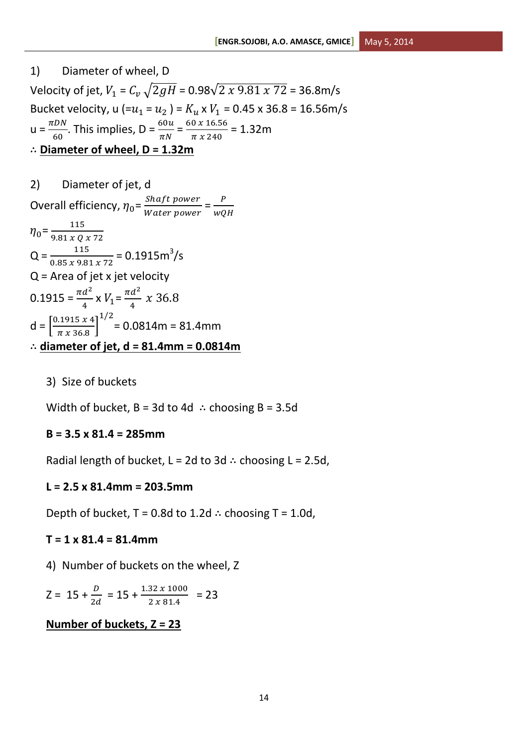1) Diameter of wheel, D Velocity of jet,  $V_1 = C_v \sqrt{2gH} = 0.98\sqrt{2x9.81x72} = 36.8$ m/s Bucket velocity, u  $(=u_1 = u_2) = K_u \times V_1 = 0.45 \times 36.8 = 16.56 \text{m/s}$  $u = \frac{\pi}{2}$  $\frac{CDN}{60}$ . This implies, D =  $\frac{60u}{\pi N}$  =  $\frac{6}{2}$  $\frac{6 \times 10.56}{\pi x 240}$  = 1.32m **Diameter of wheel, D = 1.32m**

2) Diameter of jet, d Overall efficiency,  $\eta_0 = \frac{S}{M}$  $\frac{Shaff power}{Water power} = \frac{P}{wQ}$ W  $\eta_0 = \frac{1}{2.81 \text{ m}}$ 9  $Q = \frac{115}{0.85 \times 9.81 \times 72} = 0.1915 \text{m}^3/\text{s}$ Q = Area of jet x jet velocity  $0.1915 = \frac{\pi d^2}{4}$  $rac{d^2}{4}$  x  $V_1 = \frac{\pi d^2}{4}$  $\frac{u}{4}$  x  $d = \frac{0}{1}$  $\frac{1913 \times 4}{\pi \times 36.8}$  $\mathbf{1}$ = 0.0814m = 81.4mm **diameter of jet, d = 81.4mm = 0.0814m**

3) Size of buckets

Width of bucket,  $B = 3d$  to 4d  $\therefore$  choosing B = 3.5d

### **B = 3.5 x 81.4 = 285mm**

Radial length of bucket,  $L = 2d$  to 3d  $\therefore$  choosing L = 2.5d,

#### **L = 2.5 x 81.4mm = 203.5mm**

Depth of bucket,  $T = 0.8d$  to 1.2d  $\therefore$  choosing T = 1.0d,

#### **T = 1 x 81.4 = 81.4mm**

4) Number of buckets on the wheel, Z

$$
Z = 15 + \frac{D}{2d} = 15 + \frac{1.32 \times 1000}{2 \times 81.4} = 23
$$

#### **Number of buckets, Z = 23**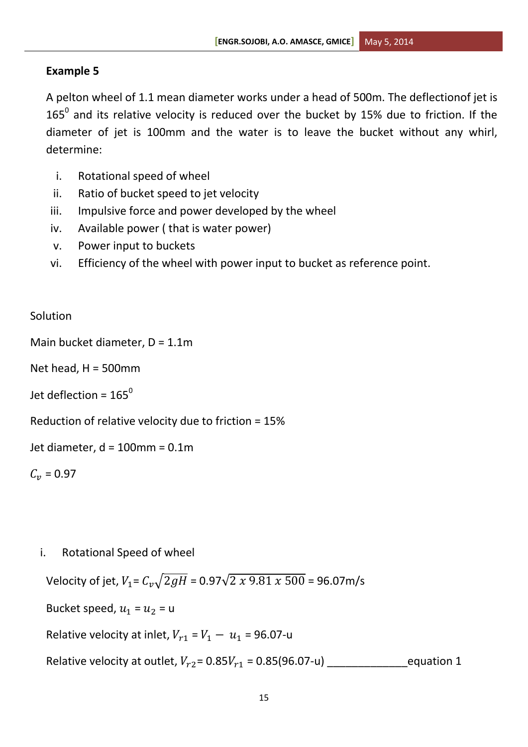# **Example 5**

A pelton wheel of 1.1 mean diameter works under a head of 500m. The deflectionof jet is 165<sup>0</sup> and its relative velocity is reduced over the bucket by 15% due to friction. If the diameter of jet is 100mm and the water is to leave the bucket without any whirl, determine:

- i. Rotational speed of wheel
- ii. Ratio of bucket speed to jet velocity
- iii. Impulsive force and power developed by the wheel
- iv. Available power ( that is water power)
- v. Power input to buckets
- vi. Efficiency of the wheel with power input to bucket as reference point.

# **Solution**

```
Main bucket diameter, D = 1.1m
```
Net head,  $H = 500$ mm

Jet deflection =  $165^{\circ}$ 

Reduction of relative velocity due to friction = 15%

Jet diameter, d = 100mm = 0.1m

```
C_v = 0.97
```

```
i. Rotational Speed of wheel
```
Velocity of jet,  $V_1 = C_v \sqrt{2gH} = 0.97 \sqrt{2 \times 9.81 \times 500} = 96.07 \text{m/s}$ Bucket speed,  $u_1 = u_2 = u$ Relative velocity at inlet,  $V_{r1} = V_1 - u_1 = 96.07$ -u Relative velocity at outlet, = 0.85 = 0.85(96.07-u) \_\_\_\_\_\_\_\_\_\_\_\_\_equation 1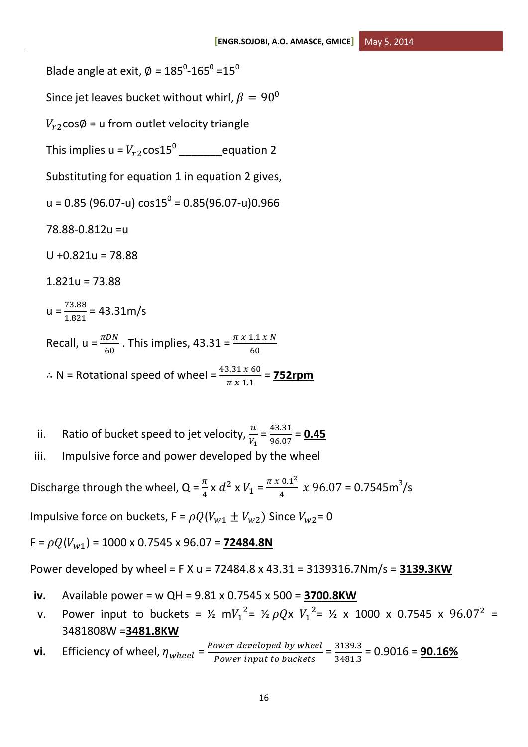Blade angle at exit,  $\varnothing$  = 185<sup>0</sup>-165<sup>0</sup> =15<sup>0</sup> Since jet leaves bucket without whirl,  $\beta = 90^{\circ}$  $V_{r2}$ cos $\emptyset$  = u from outlet velocity triangle This implies u =  $V_{r2}$ cos $15^0$  \_\_\_\_\_\_\_\_\_\_\_equation 2 Substituting for equation 1 in equation 2 gives,  $u = 0.85$  (96.07-u)  $\cos 15^\mathrm{o} = 0.85$ (96.07-u)0.966 78.88-0.812u =u  $U + 0.821u = 78.88$  $1.821u = 73.88$  $u = \frac{7}{1}$  $\frac{73.88}{1.821}$  = 43.31m/s Recall,  $u = \frac{h E N}{60}$ . This implies, 43.31 =  $\frac{h E N}{60}$  $\therefore$  N = Rotational speed of wheel =  $\frac{43.51 \times 60}{\pi \times 1.1}$  = **752rpm** 

ii. Ratio of bucket speed to jet velocity,  $\frac{u}{V_1} = \frac{4}{9}$  $\frac{+5.51}{96.07}$  = 0.45 iii. Impulsive force and power developed by the wheel

Discharge through the wheel, Q =  $\frac{\pi}{4} \times d^2 \times V_1 = \frac{\pi \times 0.1^2}{4}$  $\frac{0.1^2}{4}$  x 96.07 = 0.7545m<sup>3</sup>/s

Impulsive force on buckets,  $F = \rho Q (V_{w1} \pm V_{w2})$  Since  $V_{w2} = 0$ 

 $F = \rho Q (V_{w1}) = 1000 \times 0.7545 \times 96.07 = 72484.8N$ 

Power developed by wheel = F X u = 72484.8 x 43.31 = 3139316.7Nm/s = **3139.3KW**

- **iv.** Available power = w QH = 9.81 x 0.7545 x 500 = **3700.8KW**
- v. Power input to buckets =  $\frac{1}{2}$  m $V_1^2$ =  $\frac{1}{2}$  pQx  $V_1^2$ =  $\frac{1}{2}$  x 1000 x 0.7545 x 96.07<sup>2</sup> = 3481808W =**3481.8KW**
- **vi.** Efficiency of wheel,  $\eta_{wheel}$  =  $\frac{P}{A}$ ower developed by wheel =  $\frac{3}{3}$ <br>Power input to buckets  $\frac{3139.3}{3481.3}$  = 0.9016 = **90.16%**